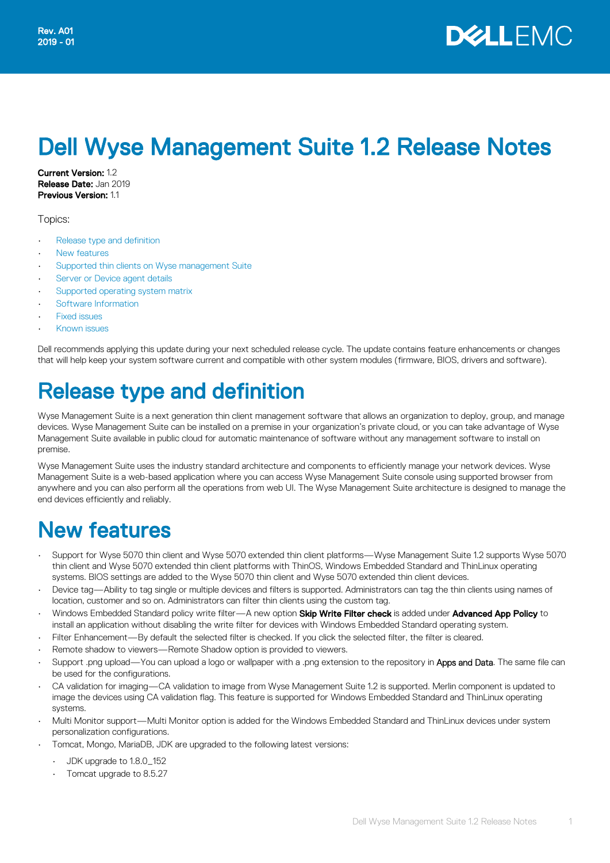# Dell Wyse Management Suite 1.2 Release Notes

Current Version: 1.2 Release Date: Jan 2019 **Previous Version: 1.1** 

Topics:

- Release type and definition
- New features
- [Supported thin clients on Wyse management Suite](#page-2-0)
- [Server or Device agent details](#page-4-0)
- [Supported operating system matrix](#page-4-0)
- [Software Information](#page-5-0)
- **[Fixed issues](#page-5-0)**
- [Known issues](#page-6-0)

Dell recommends applying this update during your next scheduled release cycle. The update contains feature enhancements or changes that will help keep your system software current and compatible with other system modules (firmware, BIOS, drivers and software).

# Release type and definition

Wyse Management Suite is a next generation thin client management software that allows an organization to deploy, group, and manage devices. Wyse Management Suite can be installed on a premise in your organization's private cloud, or you can take advantage of Wyse Management Suite available in public cloud for automatic maintenance of software without any management software to install on premise.

Wyse Management Suite uses the industry standard architecture and components to efficiently manage your network devices. Wyse Management Suite is a web-based application where you can access Wyse Management Suite console using supported browser from anywhere and you can also perform all the operations from web UI. The Wyse Management Suite architecture is designed to manage the end devices efficiently and reliably.

### New features

- Support for Wyse 5070 thin client and Wyse 5070 extended thin client platforms—Wyse Management Suite 1.2 supports Wyse 5070 thin client and Wyse 5070 extended thin client platforms with ThinOS, Windows Embedded Standard and ThinLinux operating systems. BIOS settings are added to the Wyse 5070 thin client and Wyse 5070 extended thin client devices.
- Device tag—Ability to tag single or multiple devices and filters is supported. Administrators can tag the thin clients using names of location, customer and so on. Administrators can filter thin clients using the custom tag.
- Windows Embedded Standard policy write filter—A new option Skip Write Filter check is added under Advanced App Policy to install an application without disabling the write filter for devices with Windows Embedded Standard operating system.
- Filter Enhancement—By default the selected filter is checked. If you click the selected filter, the filter is cleared.
- Remote shadow to viewers-Remote Shadow option is provided to viewers.
- Support .png upload—You can upload a logo or wallpaper with a .png extension to the repository in Apps and Data. The same file can be used for the configurations.
- CA validation for imaging—CA validation to image from Wyse Management Suite 1.2 is supported. Merlin component is updated to image the devices using CA validation flag. This feature is supported for Windows Embedded Standard and ThinLinux operating systems.
- Multi Monitor support—Multi Monitor option is added for the Windows Embedded Standard and ThinLinux devices under system personalization configurations.
- Tomcat, Mongo, MariaDB, JDK are upgraded to the following latest versions:
	- JDK upgrade to 1.8.0\_152
	- Tomcat upgrade to 8.5.27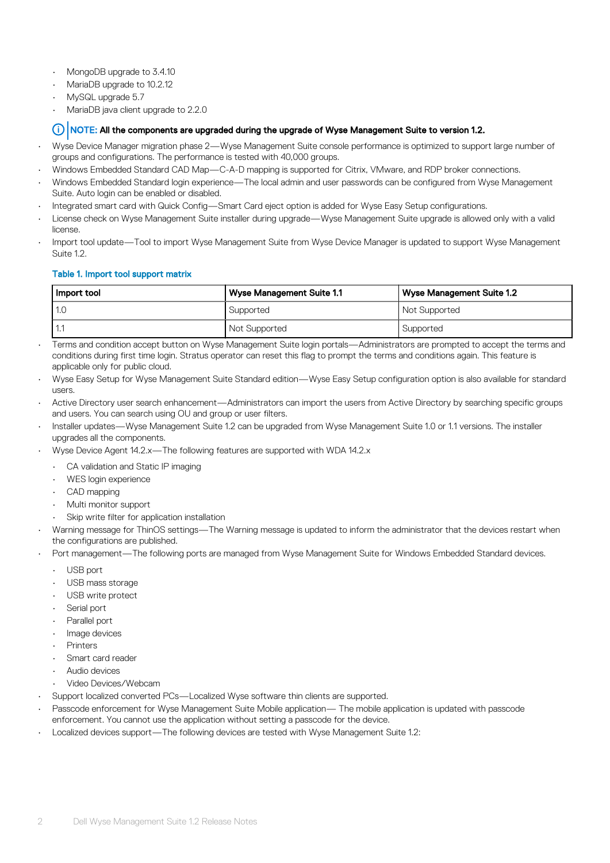- MongoDB upgrade to 3.4.10
- MariaDB upgrade to 10.2.12
- MySQL upgrade 5.7
- MariaDB java client upgrade to 2.2.0

#### NOTE: All the components are upgraded during the upgrade of Wyse Management Suite to version 1.2.

- Wyse Device Manager migration phase 2—Wyse Management Suite console performance is optimized to support large number of groups and configurations. The performance is tested with 40,000 groups.
- Windows Embedded Standard CAD Map—C-A-D mapping is supported for Citrix, VMware, and RDP broker connections.
- Windows Embedded Standard login experience—The local admin and user passwords can be configured from Wyse Management Suite. Auto login can be enabled or disabled.
- Integrated smart card with Quick Config—Smart Card eject option is added for Wyse Easy Setup configurations.
- License check on Wyse Management Suite installer during upgrade—Wyse Management Suite upgrade is allowed only with a valid license.
- Import tool update—Tool to import Wyse Management Suite from Wyse Device Manager is updated to support Wyse Management Suite 1.2.

#### Table 1. Import tool support matrix

| Import tool | <b>Wyse Management Suite 1.1</b><br>Wyse Management Suite 1.2 |               |
|-------------|---------------------------------------------------------------|---------------|
| 1.C         | Supported                                                     | Not Supported |
|             | Not Supported                                                 | Supported     |

• Terms and condition accept button on Wyse Management Suite login portals—Administrators are prompted to accept the terms and conditions during first time login. Stratus operator can reset this flag to prompt the terms and conditions again. This feature is applicable only for public cloud.

- Wyse Easy Setup for Wyse Management Suite Standard edition—Wyse Easy Setup configuration option is also available for standard users.
- Active Directory user search enhancement—Administrators can import the users from Active Directory by searching specific groups and users. You can search using OU and group or user filters.
- Installer updates—Wyse Management Suite 1.2 can be upgraded from Wyse Management Suite 1.0 or 1.1 versions. The installer upgrades all the components.
- Wyse Device Agent 14.2.x—The following features are supported with WDA 14.2.x
	- CA validation and Static IP imaging
	- WES login experience
	- CAD mapping
	- Multi monitor support
	- Skip write filter for application installation
- Warning message for ThinOS settings—The Warning message is updated to inform the administrator that the devices restart when the configurations are published.
- Port management—The following ports are managed from Wyse Management Suite for Windows Embedded Standard devices.
	- USB port
	- USB mass storage
	- USB write protect
	- Serial port
	- Parallel port
	- Image devices
	- Printers
	- Smart card reader
	- Audio devices
	- Video Devices/Webcam
- Support localized converted PCs—Localized Wyse software thin clients are supported.
- Passcode enforcement for Wyse Management Suite Mobile application— The mobile application is updated with passcode enforcement. You cannot use the application without setting a passcode for the device.
- Localized devices support—The following devices are tested with Wyse Management Suite 1.2: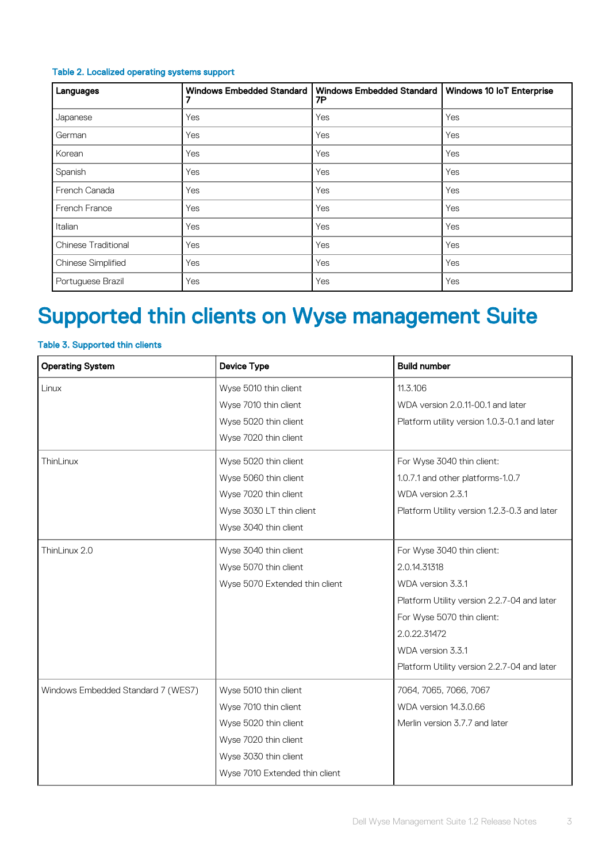#### <span id="page-2-0"></span>Table 2. Localized operating systems support

| Languages                  | <b>Windows Embedded Standard</b> | <b>Windows Embedded Standard</b><br>7P | Windows 10 IoT Enterprise |
|----------------------------|----------------------------------|----------------------------------------|---------------------------|
| Japanese                   | Yes                              | Yes                                    | Yes                       |
| German                     | Yes                              | Yes                                    | Yes                       |
| Korean                     | Yes                              | Yes                                    | Yes                       |
| Spanish                    | Yes                              | Yes                                    | Yes                       |
| French Canada              | Yes                              | Yes                                    | Yes                       |
| French France              | Yes                              | Yes                                    | Yes                       |
| Italian                    | Yes                              | Yes                                    | Yes                       |
| <b>Chinese Traditional</b> | Yes                              | Yes                                    | Yes                       |
| <b>Chinese Simplified</b>  | Yes                              | Yes                                    | Yes                       |
| Portuguese Brazil          | Yes                              | Yes                                    | Yes                       |

# Supported thin clients on Wyse management Suite

### Table 3. Supported thin clients

| <b>Operating System</b>            | <b>Device Type</b>             | <b>Build number</b>                          |
|------------------------------------|--------------------------------|----------------------------------------------|
| Linux                              | Wyse 5010 thin client          | 11.3.106                                     |
|                                    | Wyse 7010 thin client          | WDA version 2.0.11-00.1 and later            |
|                                    | Wyse 5020 thin client          | Platform utility version 1.0.3-0.1 and later |
|                                    | Wyse 7020 thin client          |                                              |
| ThinLinux                          | Wyse 5020 thin client          | For Wyse 3040 thin client:                   |
|                                    | Wyse 5060 thin client          | 1.0.7.1 and other platforms-1.0.7            |
|                                    | Wyse 7020 thin client          | WDA version 2.3.1                            |
|                                    | Wyse 3030 LT thin client       | Platform Utility version 1.2.3-0.3 and later |
|                                    | Wyse 3040 thin client          |                                              |
| ThinLinux 2.0                      | Wyse 3040 thin client          | For Wyse 3040 thin client:                   |
|                                    | Wyse 5070 thin client          | 2.0.14.31318                                 |
|                                    | Wyse 5070 Extended thin client | WDA version 3.3.1                            |
|                                    |                                | Platform Utility version 2.2.7-04 and later  |
|                                    |                                | For Wyse 5070 thin client:                   |
|                                    |                                | 2.0.22.31472                                 |
|                                    |                                | WDA version 3.3.1                            |
|                                    |                                | Platform Utility version 2.2.7-04 and later  |
| Windows Embedded Standard 7 (WES7) | Wyse 5010 thin client          | 7064, 7065, 7066, 7067                       |
|                                    | Wyse 7010 thin client          | WDA version 14.3.0.66                        |
|                                    | Wyse 5020 thin client          | Merlin version 3.7.7 and later               |
|                                    | Wyse 7020 thin client          |                                              |
|                                    | Wyse 3030 thin client          |                                              |
|                                    | Wyse 7010 Extended thin client |                                              |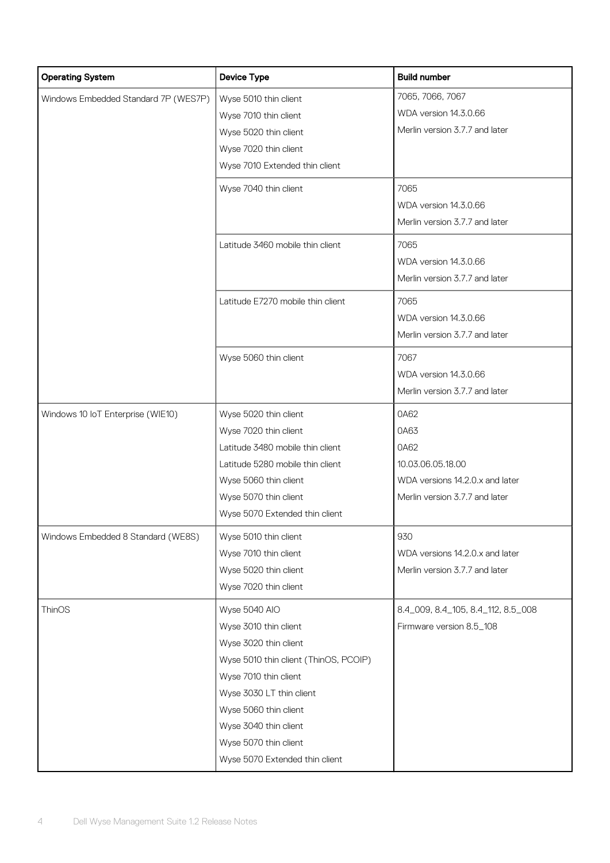| <b>Operating System</b>              | <b>Device Type</b>                    | <b>Build number</b>                |  |
|--------------------------------------|---------------------------------------|------------------------------------|--|
| Windows Embedded Standard 7P (WES7P) | Wyse 5010 thin client                 | 7065, 7066, 7067                   |  |
|                                      | Wyse 7010 thin client                 | WDA version 14.3.0.66              |  |
|                                      | Wyse 5020 thin client                 | Merlin version 3.7.7 and later     |  |
|                                      | Wyse 7020 thin client                 |                                    |  |
|                                      | Wyse 7010 Extended thin client        |                                    |  |
|                                      | Wyse 7040 thin client                 | 7065                               |  |
|                                      |                                       | WDA version 14.3.0.66              |  |
|                                      |                                       | Merlin version 3.7.7 and later     |  |
|                                      | Latitude 3460 mobile thin client      | 7065                               |  |
|                                      |                                       | WDA version 14.3.0.66              |  |
|                                      |                                       | Merlin version 3.7.7 and later     |  |
|                                      | Latitude E7270 mobile thin client     | 7065                               |  |
|                                      |                                       | WDA version 14.3.0.66              |  |
|                                      |                                       | Merlin version 3.7.7 and later     |  |
|                                      | Wyse 5060 thin client                 | 7067                               |  |
|                                      |                                       | WDA version 14.3.0.66              |  |
|                                      |                                       | Merlin version 3.7.7 and later     |  |
| Windows 10 IoT Enterprise (WIE10)    | Wyse 5020 thin client                 | 0A62                               |  |
|                                      | Wyse 7020 thin client                 | 0A63                               |  |
|                                      | Latitude 3480 mobile thin client      | 0A62                               |  |
|                                      | Latitude 5280 mobile thin client      | 10.03.06.05.18.00                  |  |
|                                      | Wyse 5060 thin client                 | WDA versions 14.2.0.x and later    |  |
|                                      | Wyse 5070 thin client                 | Merlin version 3.7.7 and later     |  |
|                                      | Wyse 5070 Extended thin client        |                                    |  |
| Windows Embedded 8 Standard (WE8S)   | Wyse 5010 thin client                 | 930                                |  |
|                                      | Wyse 7010 thin client                 | WDA versions 14.2.0.x and later    |  |
|                                      | Wyse 5020 thin client                 | Merlin version 3.7.7 and later     |  |
|                                      | Wyse 7020 thin client                 |                                    |  |
| ThinOS                               | Wyse 5040 AIO                         | 8.4_009, 8.4_105, 8.4_112, 8.5_008 |  |
|                                      | Wyse 3010 thin client                 | Firmware version 8.5_108           |  |
|                                      | Wyse 3020 thin client                 |                                    |  |
|                                      | Wyse 5010 thin client (ThinOS, PCOIP) |                                    |  |
|                                      | Wyse 7010 thin client                 |                                    |  |
|                                      | Wyse 3030 LT thin client              |                                    |  |
|                                      | Wyse 5060 thin client                 |                                    |  |
|                                      | Wyse 3040 thin client                 |                                    |  |
|                                      | Wyse 5070 thin client                 |                                    |  |
|                                      | Wyse 5070 Extended thin client        |                                    |  |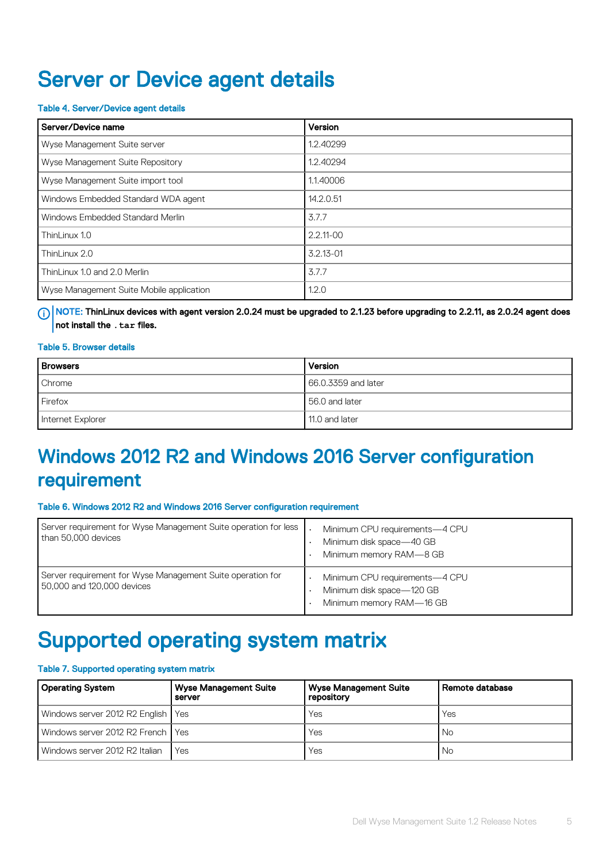### <span id="page-4-0"></span>Server or Device agent details

#### Table 4. Server/Device agent details

| l Server/Device name                     | Version       |
|------------------------------------------|---------------|
| Wyse Management Suite server             | 1.2.40299     |
| Wyse Management Suite Repository         | 1.2.40294     |
| Wyse Management Suite import tool        | 1.1.40006     |
| Windows Embedded Standard WDA agent      | 14.2.0.51     |
| Windows Embedded Standard Merlin         | 3.7.7         |
| ThinLinux 1.0                            | $2.2.11 - 00$ |
| ThinLinux 2.0                            | $3.2.13 - 01$ |
| ThinLinux 1.0 and 2.0 Merlin             | 3.7.7         |
| Wyse Management Suite Mobile application | 1.2.0         |

 $\odot$  NOTE: ThinLinux devices with agent version 2.0.24 must be upgraded to 2.1.23 before upgrading to 2.2.11, as 2.0.24 agent does not install the **.tar** files.

#### Table 5. Browser details

| <b>Browsers</b>   | Version             |
|-------------------|---------------------|
| Chrome            | 66.0.3359 and later |
| Firefox           | 56.0 and later      |
| Internet Explorer | 11.0 and later      |

### Windows 2012 R2 and Windows 2016 Server configuration requirement

#### Table 6. Windows 2012 R2 and Windows 2016 Server configuration requirement

| Server requirement for Wyse Management Suite operation for less<br>than 50,000 devices   | Minimum CPU requirements-4 CPU<br>Minimum disk space-40 GB<br>Minimum memory RAM-8 GB   |
|------------------------------------------------------------------------------------------|-----------------------------------------------------------------------------------------|
| Server requirement for Wyse Management Suite operation for<br>50,000 and 120,000 devices | Minimum CPU requirements-4 CPU<br>Minimum disk space-120 GB<br>Minimum memory RAM-16 GB |

# Supported operating system matrix

#### Table 7. Supported operating system matrix

| <b>Operating System</b>              | <b>Wyse Management Suite</b><br>server | <b>Wyse Management Suite</b><br>repository | Remote database |
|--------------------------------------|----------------------------------------|--------------------------------------------|-----------------|
| Windows server 2012 R2 English   Yes |                                        | Yes                                        | Yes             |
| Windows server 2012 R2 French I Yes  |                                        | Yes                                        | No.             |
| Windows server 2012 R2 Italian       | Yes                                    | Yes                                        | No              |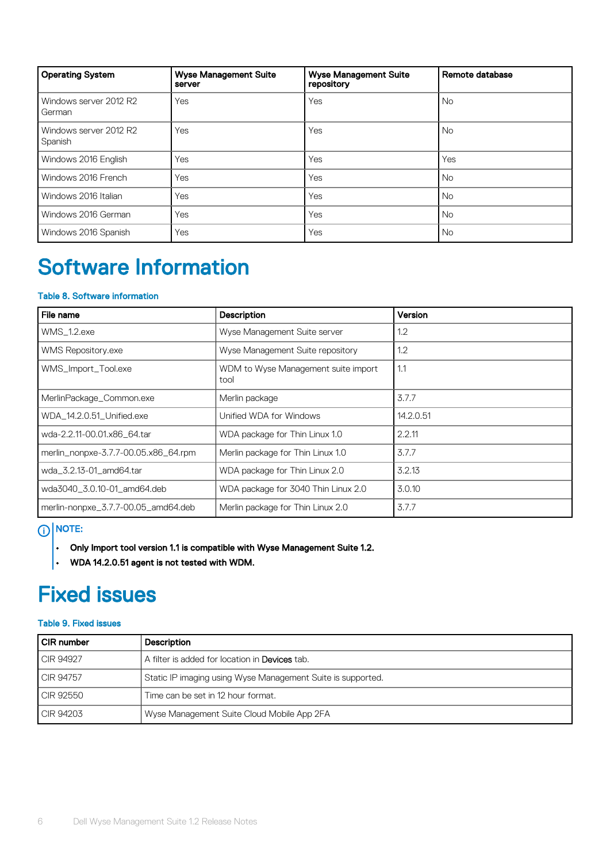<span id="page-5-0"></span>

| <b>Operating System</b>           | <b>Wyse Management Suite</b><br>server | <b>Wyse Management Suite</b><br>repository | Remote database |
|-----------------------------------|----------------------------------------|--------------------------------------------|-----------------|
| Windows server 2012 R2<br>German  | Yes                                    | Yes                                        | No.             |
| Windows server 2012 R2<br>Spanish | Yes                                    | Yes                                        | <b>No</b>       |
| Windows 2016 English              | Yes                                    | Yes                                        | Yes             |
| Windows 2016 French               | Yes                                    | Yes                                        | <b>No</b>       |
| Windows 2016 Italian              | Yes                                    | Yes                                        | <b>No</b>       |
| Windows 2016 German               | Yes                                    | Yes                                        | No.             |
| Windows 2016 Spanish              | Yes                                    | Yes                                        | No.             |

# Software Information

### Table 8. Software information

| File name                            | Description                                 | Version   |
|--------------------------------------|---------------------------------------------|-----------|
| WMS_1.2.exe                          | Wyse Management Suite server                | 1.2       |
| <b>WMS Repository.exe</b>            | Wyse Management Suite repository            | 1.2       |
| WMS_Import_Tool.exe                  | WDM to Wyse Management suite import<br>tool | 1.1       |
| MerlinPackage_Common.exe             | Merlin package                              | 3.7.7     |
| WDA_14.2.0.51_Unified.exe            | Unified WDA for Windows                     | 14.2.0.51 |
| wda-2.2.11-00.01.x86 64.tar          | WDA package for Thin Linux 1.0              | 2.2.11    |
| merlin_nonpxe-3.7.7-00.05.x86_64.rpm | Merlin package for Thin Linux 1.0           | 3.7.7     |
| wda_3.2.13-01_amd64.tar              | WDA package for Thin Linux 2.0              | 3.2.13    |
| wda3040_3.0.10-01_amd64.deb          | WDA package for 3040 Thin Linux 2.0         | 3.0.10    |
| merlin-nonpxe_3.7.7-00.05_amd64.deb  | Merlin package for Thin Linux 2.0           | 3.7.7     |

### $\bigcirc$  NOTE:

- $\cdot$  Only Import tool version 1.1 is compatible with Wyse Management Suite 1.2.
- $\cdot$  WDA 14.2.0.51 agent is not tested with WDM.

## Fixed issues

### Table 9. Fixed issues

| l CIR number | <b>Description</b>                                          |
|--------------|-------------------------------------------------------------|
| CIR 94927    | A filter is added for location in <b>Devices</b> tab.       |
| CIR 94757    | Static IP imaging using Wyse Management Suite is supported. |
| CIR 92550    | Time can be set in 12 hour format.                          |
| CR94203      | Wyse Management Suite Cloud Mobile App 2FA                  |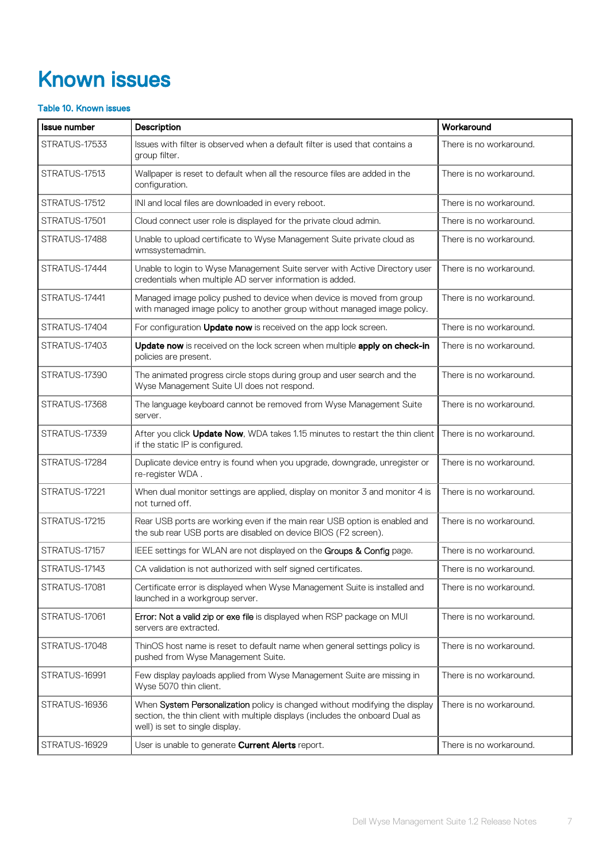# <span id="page-6-0"></span>Known issues

### Table 10. Known issues

| <b>Issue number</b> | Description                                                                                                                                                                                     | Workaround              |
|---------------------|-------------------------------------------------------------------------------------------------------------------------------------------------------------------------------------------------|-------------------------|
| STRATUS-17533       | Issues with filter is observed when a default filter is used that contains a<br>group filter.                                                                                                   | There is no workaround. |
| STRATUS-17513       | Wallpaper is reset to default when all the resource files are added in the<br>configuration.                                                                                                    | There is no workaround. |
| STRATUS-17512       | INI and local files are downloaded in every reboot.                                                                                                                                             | There is no workaround. |
| STRATUS-17501       | Cloud connect user role is displayed for the private cloud admin.                                                                                                                               | There is no workaround. |
| STRATUS-17488       | Unable to upload certificate to Wyse Management Suite private cloud as<br>wmssystemadmin.                                                                                                       | There is no workaround. |
| STRATUS-17444       | Unable to login to Wyse Management Suite server with Active Directory user<br>credentials when multiple AD server information is added.                                                         | There is no workaround. |
| STRATUS-17441       | Managed image policy pushed to device when device is moved from group<br>with managed image policy to another group without managed image policy.                                               | There is no workaround. |
| STRATUS-17404       | For configuration <b>Update now</b> is received on the app lock screen.                                                                                                                         | There is no workaround. |
| STRATUS-17403       | Update now is received on the lock screen when multiple apply on check-in<br>policies are present.                                                                                              | There is no workaround. |
| STRATUS-17390       | The animated progress circle stops during group and user search and the<br>Wyse Management Suite UI does not respond.                                                                           | There is no workaround. |
| STRATUS-17368       | The language keyboard cannot be removed from Wyse Management Suite<br>server.                                                                                                                   | There is no workaround. |
| STRATUS-17339       | After you click Update Now, WDA takes 1.15 minutes to restart the thin client<br>if the static IP is configured.                                                                                | There is no workaround. |
| STRATUS-17284       | Duplicate device entry is found when you upgrade, downgrade, unregister or<br>re-register WDA.                                                                                                  | There is no workaround. |
| STRATUS-17221       | When dual monitor settings are applied, display on monitor 3 and monitor 4 is<br>not turned off.                                                                                                | There is no workaround. |
| STRATUS-17215       | Rear USB ports are working even if the main rear USB option is enabled and<br>the sub rear USB ports are disabled on device BIOS (F2 screen).                                                   | There is no workaround. |
| STRATUS-17157       | IEEE settings for WLAN are not displayed on the Groups & Config page.                                                                                                                           | There is no workaround. |
| STRATUS-17143       | CA validation is not authorized with self signed certificates.                                                                                                                                  | There is no workaround. |
| STRATUS-17081       | Certificate error is displayed when Wyse Management Suite is installed and<br>launched in a workgroup server.                                                                                   | There is no workaround. |
| STRATUS-17061       | Error: Not a valid zip or exe file is displayed when RSP package on MUI<br>servers are extracted.                                                                                               | There is no workaround. |
| STRATUS-17048       | ThinOS host name is reset to default name when general settings policy is<br>pushed from Wyse Management Suite.                                                                                 | There is no workaround. |
| STRATUS-16991       | Few display payloads applied from Wyse Management Suite are missing in<br>Wyse 5070 thin client.                                                                                                | There is no workaround. |
| STRATUS-16936       | When System Personalization policy is changed without modifying the display<br>section, the thin client with multiple displays (includes the onboard Dual as<br>well) is set to single display. | There is no workaround. |
| STRATUS-16929       | User is unable to generate <b>Current Alerts</b> report.                                                                                                                                        | There is no workaround. |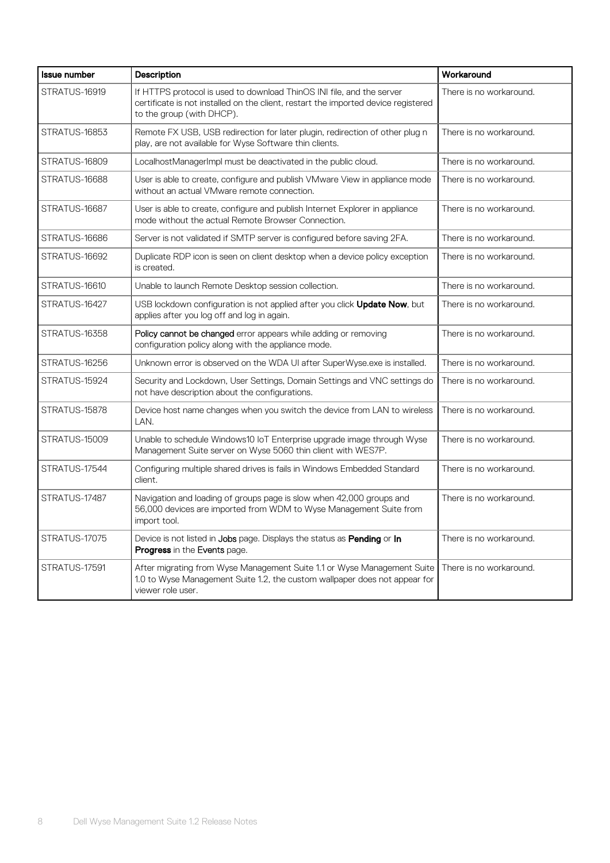| <b>Issue number</b> | Description                                                                                                                                                                              | Workaround              |
|---------------------|------------------------------------------------------------------------------------------------------------------------------------------------------------------------------------------|-------------------------|
| STRATUS-16919       | If HTTPS protocol is used to download ThinOS INI file, and the server<br>certificate is not installed on the client, restart the imported device registered<br>to the group (with DHCP). | There is no workaround. |
| STRATUS-16853       | Remote FX USB, USB redirection for later plugin, redirection of other plug n<br>play, are not available for Wyse Software thin clients.                                                  | There is no workaround. |
| STRATUS-16809       | LocalhostManagerImpl must be deactivated in the public cloud.                                                                                                                            | There is no workaround. |
| STRATUS-16688       | User is able to create, configure and publish VMware View in appliance mode<br>without an actual VMware remote connection.                                                               | There is no workaround. |
| STRATUS-16687       | User is able to create, configure and publish Internet Explorer in appliance<br>mode without the actual Remote Browser Connection.                                                       | There is no workaround. |
| STRATUS-16686       | Server is not validated if SMTP server is configured before saving 2FA.                                                                                                                  | There is no workaround. |
| STRATUS-16692       | Duplicate RDP icon is seen on client desktop when a device policy exception<br>is created.                                                                                               | There is no workaround. |
| STRATUS-16610       | Unable to launch Remote Desktop session collection.                                                                                                                                      | There is no workaround. |
| STRATUS-16427       | USB lockdown configuration is not applied after you click <b>Update Now</b> , but<br>applies after you log off and log in again.                                                         | There is no workaround. |
| STRATUS-16358       | Policy cannot be changed error appears while adding or removing<br>configuration policy along with the appliance mode.                                                                   | There is no workaround. |
| STRATUS-16256       | Unknown error is observed on the WDA UI after SuperWyse.exe is installed.                                                                                                                | There is no workaround. |
| STRATUS-15924       | Security and Lockdown, User Settings, Domain Settings and VNC settings do<br>not have description about the configurations.                                                              | There is no workaround. |
| STRATUS-15878       | Device host name changes when you switch the device from LAN to wireless<br>LAN.                                                                                                         | There is no workaround. |
| STRATUS-15009       | Unable to schedule Windows10 IoT Enterprise upgrade image through Wyse<br>Management Suite server on Wyse 5060 thin client with WES7P.                                                   | There is no workaround. |
| STRATUS-17544       | Configuring multiple shared drives is fails in Windows Embedded Standard<br>client.                                                                                                      | There is no workaround. |
| STRATUS-17487       | Navigation and loading of groups page is slow when 42,000 groups and<br>56,000 devices are imported from WDM to Wyse Management Suite from<br>import tool.                               | There is no workaround. |
| STRATUS-17075       | Device is not listed in Jobs page. Displays the status as Pending or In<br>Progress in the Events page.                                                                                  | There is no workaround. |
| STRATUS-17591       | After migrating from Wyse Management Suite 1.1 or Wyse Management Suite<br>1.0 to Wyse Management Suite 1.2, the custom wallpaper does not appear for<br>viewer role user.               | There is no workaround. |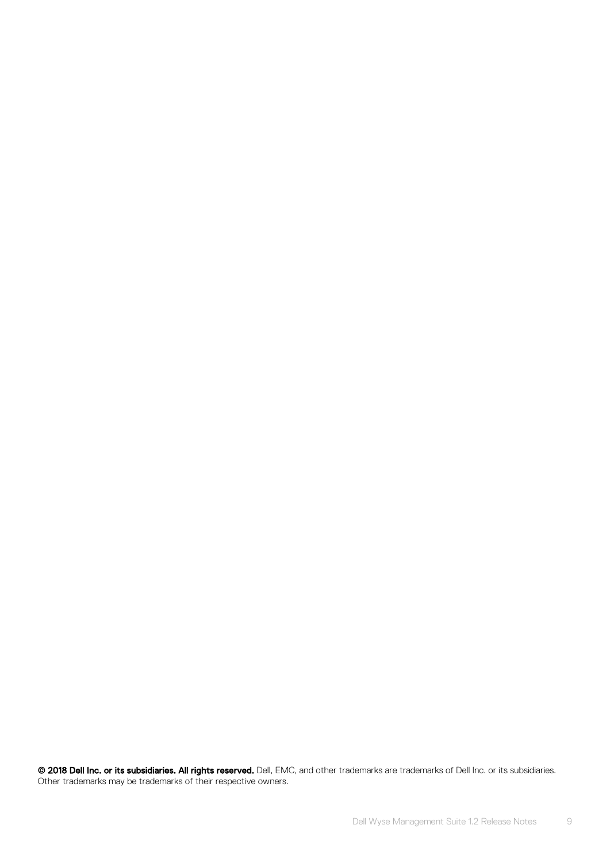© 2018 Dell Inc. or its subsidiaries. All rights reserved. Dell, EMC, and other trademarks are trademarks of Dell Inc. or its subsidiaries. Other trademarks may be trademarks of their respective owners.